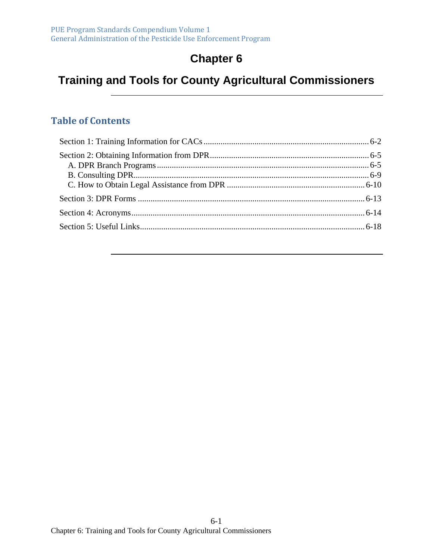# **Chapter 6**

# **Training and Tools for County Agricultural Commissioners**

#### **Table of Contents**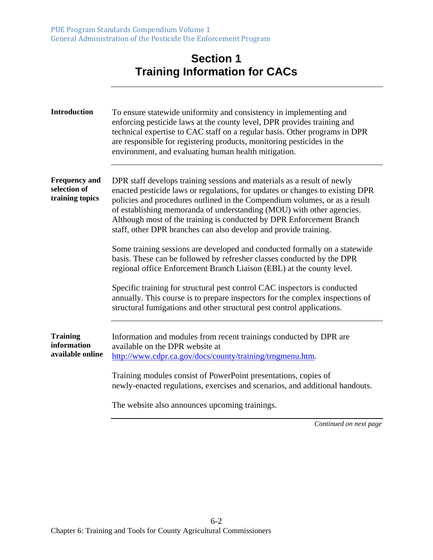#### **Section 1 Training Information for CACs**

| <b>Introduction</b>                                     | To ensure statewide uniformity and consistency in implementing and<br>enforcing pesticide laws at the county level, DPR provides training and<br>technical expertise to CAC staff on a regular basis. Other programs in DPR<br>are responsible for registering products, monitoring pesticides in the<br>environment, and evaluating human health mitigation.                                                                                               |
|---------------------------------------------------------|-------------------------------------------------------------------------------------------------------------------------------------------------------------------------------------------------------------------------------------------------------------------------------------------------------------------------------------------------------------------------------------------------------------------------------------------------------------|
| <b>Frequency and</b><br>selection of<br>training topics | DPR staff develops training sessions and materials as a result of newly<br>enacted pesticide laws or regulations, for updates or changes to existing DPR<br>policies and procedures outlined in the Compendium volumes, or as a result<br>of establishing memoranda of understanding (MOU) with other agencies.<br>Although most of the training is conducted by DPR Enforcement Branch<br>staff, other DPR branches can also develop and provide training. |
|                                                         | Some training sessions are developed and conducted formally on a statewide<br>basis. These can be followed by refresher classes conducted by the DPR<br>regional office Enforcement Branch Liaison (EBL) at the county level.                                                                                                                                                                                                                               |
|                                                         | Specific training for structural pest control CAC inspectors is conducted<br>annually. This course is to prepare inspectors for the complex inspections of<br>structural fumigations and other structural pest control applications.                                                                                                                                                                                                                        |
| <b>Training</b><br>information<br>available online      | Information and modules from recent trainings conducted by DPR are<br>available on the DPR website at<br>http://www.cdpr.ca.gov/docs/county/training/trngmenu.htm.                                                                                                                                                                                                                                                                                          |
|                                                         | Training modules consist of PowerPoint presentations, copies of<br>newly-enacted regulations, exercises and scenarios, and additional handouts.                                                                                                                                                                                                                                                                                                             |
|                                                         | The website also announces upcoming trainings.                                                                                                                                                                                                                                                                                                                                                                                                              |
|                                                         | Continued on next page                                                                                                                                                                                                                                                                                                                                                                                                                                      |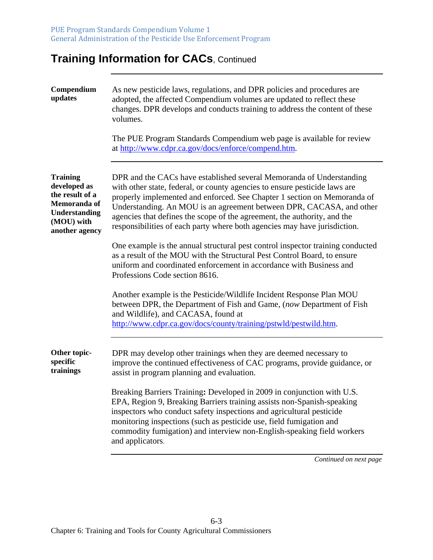# **Training Information for CACs, Continued**

| Compendium<br>updates                                                                                                      | As new pesticide laws, regulations, and DPR policies and procedures are<br>adopted, the affected Compendium volumes are updated to reflect these<br>changes. DPR develops and conducts training to address the content of these<br>volumes.<br>The PUE Program Standards Compendium web page is available for review<br>at http://www.cdpr.ca.gov/docs/enforce/compend.htm.                                                                                     |
|----------------------------------------------------------------------------------------------------------------------------|-----------------------------------------------------------------------------------------------------------------------------------------------------------------------------------------------------------------------------------------------------------------------------------------------------------------------------------------------------------------------------------------------------------------------------------------------------------------|
| <b>Training</b><br>developed as<br>the result of a<br>Memoranda of<br><b>Understanding</b><br>(MOU) with<br>another agency | DPR and the CACs have established several Memoranda of Understanding<br>with other state, federal, or county agencies to ensure pesticide laws are<br>properly implemented and enforced. See Chapter 1 section on Memoranda of<br>Understanding. An MOU is an agreement between DPR, CACASA, and other<br>agencies that defines the scope of the agreement, the authority, and the<br>responsibilities of each party where both agencies may have jurisdiction. |
|                                                                                                                            | One example is the annual structural pest control inspector training conducted<br>as a result of the MOU with the Structural Pest Control Board, to ensure<br>uniform and coordinated enforcement in accordance with Business and<br>Professions Code section 8616.                                                                                                                                                                                             |
|                                                                                                                            | Another example is the Pesticide/Wildlife Incident Response Plan MOU<br>between DPR, the Department of Fish and Game, (now Department of Fish<br>and Wildlife), and CACASA, found at<br>http://www.cdpr.ca.gov/docs/county/training/pstwld/pestwild.htm.                                                                                                                                                                                                        |
| Other topic-<br>specific<br>trainings                                                                                      | DPR may develop other trainings when they are deemed necessary to<br>improve the continued effectiveness of CAC programs, provide guidance, or<br>assist in program planning and evaluation.                                                                                                                                                                                                                                                                    |
|                                                                                                                            | Breaking Barriers Training: Developed in 2009 in conjunction with U.S.<br>EPA, Region 9, Breaking Barriers training assists non-Spanish-speaking<br>inspectors who conduct safety inspections and agricultural pesticide<br>monitoring inspections (such as pesticide use, field fumigation and<br>commodity fumigation) and interview non-English-speaking field workers<br>and applicators.                                                                   |
|                                                                                                                            |                                                                                                                                                                                                                                                                                                                                                                                                                                                                 |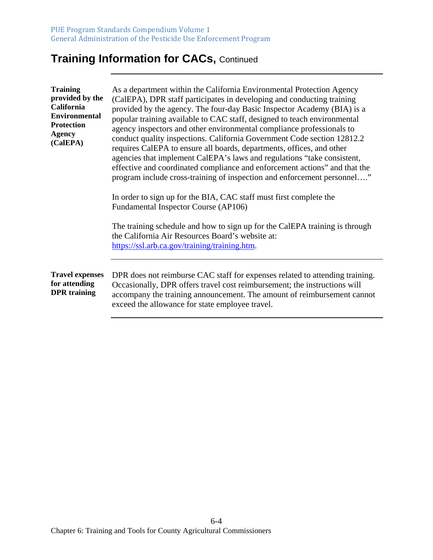# **Training Information for CACs,** Continued

| <b>Training</b><br>provided by the<br><b>California</b><br><b>Environmental</b><br><b>Protection</b><br><b>Agency</b><br>(CalEPA) | As a department within the California Environmental Protection Agency<br>(CalEPA), DPR staff participates in developing and conducting training<br>provided by the agency. The four-day Basic Inspector Academy (BIA) is a<br>popular training available to CAC staff, designed to teach environmental<br>agency inspectors and other environmental compliance professionals to<br>conduct quality inspections. California Government Code section 12812.2<br>requires CalEPA to ensure all boards, departments, offices, and other<br>agencies that implement CalEPA's laws and regulations "take consistent,<br>effective and coordinated compliance and enforcement actions" and that the<br>program include cross-training of inspection and enforcement personnel"<br>In order to sign up for the BIA, CAC staff must first complete the<br><b>Fundamental Inspector Course (AP106)</b><br>The training schedule and how to sign up for the CalEPA training is through<br>the California Air Resources Board's website at:<br>https://ssl.arb.ca.gov/training/training.htm. |
|-----------------------------------------------------------------------------------------------------------------------------------|----------------------------------------------------------------------------------------------------------------------------------------------------------------------------------------------------------------------------------------------------------------------------------------------------------------------------------------------------------------------------------------------------------------------------------------------------------------------------------------------------------------------------------------------------------------------------------------------------------------------------------------------------------------------------------------------------------------------------------------------------------------------------------------------------------------------------------------------------------------------------------------------------------------------------------------------------------------------------------------------------------------------------------------------------------------------------------|
| <b>Travel expenses</b>                                                                                                            | DPR does not reimburse CAC staff for expenses related to attending training.                                                                                                                                                                                                                                                                                                                                                                                                                                                                                                                                                                                                                                                                                                                                                                                                                                                                                                                                                                                                     |
| for attending<br><b>DPR</b> training                                                                                              | Occasionally, DPR offers travel cost reimbursement; the instructions will<br>accompany the training announcement. The amount of reimbursement cannot<br>exceed the allowance for state employee travel.                                                                                                                                                                                                                                                                                                                                                                                                                                                                                                                                                                                                                                                                                                                                                                                                                                                                          |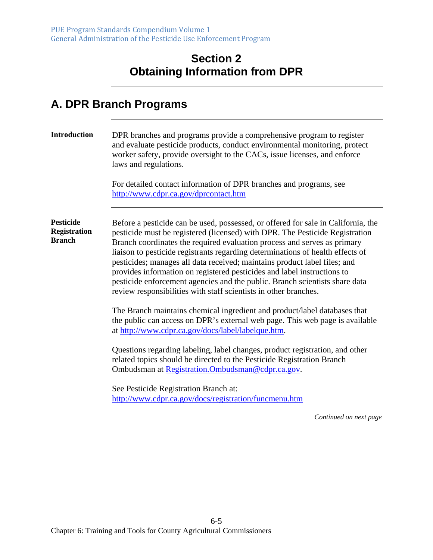#### **Section 2 Obtaining Information from DPR**

#### **A. DPR Branch Programs**

| <b>Introduction</b>                                      | DPR branches and programs provide a comprehensive program to register<br>and evaluate pesticide products, conduct environmental monitoring, protect<br>worker safety, provide oversight to the CACs, issue licenses, and enforce<br>laws and regulations.<br>For detailed contact information of DPR branches and programs, see<br>http://www.cdpr.ca.gov/dprcontact.htm                                                                                                                                                                                                                                                                   |
|----------------------------------------------------------|--------------------------------------------------------------------------------------------------------------------------------------------------------------------------------------------------------------------------------------------------------------------------------------------------------------------------------------------------------------------------------------------------------------------------------------------------------------------------------------------------------------------------------------------------------------------------------------------------------------------------------------------|
| <b>Pesticide</b><br><b>Registration</b><br><b>Branch</b> | Before a pesticide can be used, possessed, or offered for sale in California, the<br>pesticide must be registered (licensed) with DPR. The Pesticide Registration<br>Branch coordinates the required evaluation process and serves as primary<br>liaison to pesticide registrants regarding determinations of health effects of<br>pesticides; manages all data received; maintains product label files; and<br>provides information on registered pesticides and label instructions to<br>pesticide enforcement agencies and the public. Branch scientists share data<br>review responsibilities with staff scientists in other branches. |
|                                                          | The Branch maintains chemical ingredient and product/label databases that<br>the public can access on DPR's external web page. This web page is available<br>at http://www.cdpr.ca.gov/docs/label/labelque.htm.                                                                                                                                                                                                                                                                                                                                                                                                                            |
|                                                          | Questions regarding labeling, label changes, product registration, and other<br>related topics should be directed to the Pesticide Registration Branch<br>Ombudsman at Registration.Ombudsman@cdpr.ca.gov.                                                                                                                                                                                                                                                                                                                                                                                                                                 |
|                                                          | See Pesticide Registration Branch at:<br>http://www.cdpr.ca.gov/docs/registration/funcmenu.htm                                                                                                                                                                                                                                                                                                                                                                                                                                                                                                                                             |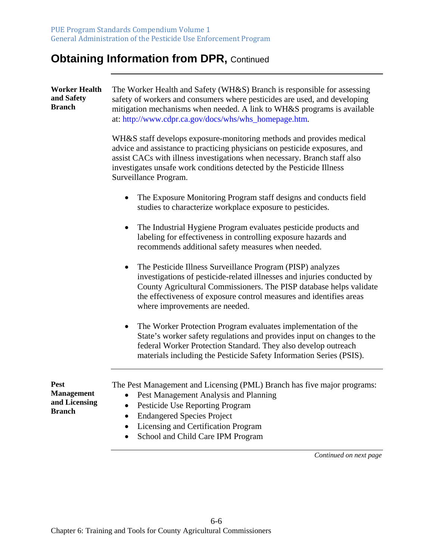| <b>Worker Health</b><br>and Safety<br><b>Branch</b>                | The Worker Health and Safety (WH&S) Branch is responsible for assessing<br>safety of workers and consumers where pesticides are used, and developing<br>mitigation mechanisms when needed. A link to WH&S programs is available<br>at: http://www.cdpr.ca.gov/docs/whs/whs_homepage.htm.                                              |  |  |  |
|--------------------------------------------------------------------|---------------------------------------------------------------------------------------------------------------------------------------------------------------------------------------------------------------------------------------------------------------------------------------------------------------------------------------|--|--|--|
|                                                                    | WH&S staff develops exposure-monitoring methods and provides medical<br>advice and assistance to practicing physicians on pesticide exposures, and<br>assist CACs with illness investigations when necessary. Branch staff also<br>investigates unsafe work conditions detected by the Pesticide Illness<br>Surveillance Program.     |  |  |  |
|                                                                    | The Exposure Monitoring Program staff designs and conducts field<br>studies to characterize workplace exposure to pesticides.                                                                                                                                                                                                         |  |  |  |
|                                                                    | The Industrial Hygiene Program evaluates pesticide products and<br>$\bullet$<br>labeling for effectiveness in controlling exposure hazards and<br>recommends additional safety measures when needed.                                                                                                                                  |  |  |  |
|                                                                    | The Pesticide Illness Surveillance Program (PISP) analyzes<br>$\bullet$<br>investigations of pesticide-related illnesses and injuries conducted by<br>County Agricultural Commissioners. The PISP database helps validate<br>the effectiveness of exposure control measures and identifies areas<br>where improvements are needed.    |  |  |  |
|                                                                    | The Worker Protection Program evaluates implementation of the<br>$\bullet$<br>State's worker safety regulations and provides input on changes to the<br>federal Worker Protection Standard. They also develop outreach<br>materials including the Pesticide Safety Information Series (PSIS).                                         |  |  |  |
| <b>Pest</b><br><b>Management</b><br>and Licensing<br><b>Branch</b> | The Pest Management and Licensing (PML) Branch has five major programs:<br>Pest Management Analysis and Planning<br>$\bullet$<br>Pesticide Use Reporting Program<br>$\bullet$<br><b>Endangered Species Project</b><br>$\bullet$<br>Licensing and Certification Program<br>$\bullet$<br>School and Child Care IPM Program<br>$\bullet$ |  |  |  |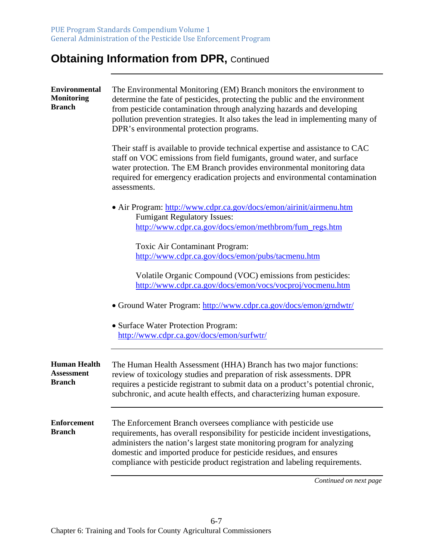| <b>Environmental</b><br><b>Monitoring</b><br><b>Branch</b> | The Environmental Monitoring (EM) Branch monitors the environment to<br>determine the fate of pesticides, protecting the public and the environment<br>from pesticide contamination through analyzing hazards and developing<br>pollution prevention strategies. It also takes the lead in implementing many of<br>DPR's environmental protection programs.                   |
|------------------------------------------------------------|-------------------------------------------------------------------------------------------------------------------------------------------------------------------------------------------------------------------------------------------------------------------------------------------------------------------------------------------------------------------------------|
|                                                            | Their staff is available to provide technical expertise and assistance to CAC<br>staff on VOC emissions from field fumigants, ground water, and surface<br>water protection. The EM Branch provides environmental monitoring data<br>required for emergency eradication projects and environmental contamination<br>assessments.                                              |
|                                                            | • Air Program: http://www.cdpr.ca.gov/docs/emon/airinit/airmenu.htm<br><b>Fumigant Regulatory Issues:</b><br>http://www.cdpr.ca.gov/docs/emon/methbrom/fum_regs.htm                                                                                                                                                                                                           |
|                                                            | Toxic Air Contaminant Program:<br>http://www.cdpr.ca.gov/docs/emon/pubs/tacmenu.htm                                                                                                                                                                                                                                                                                           |
|                                                            | Volatile Organic Compound (VOC) emissions from pesticides:<br>http://www.cdpr.ca.gov/docs/emon/vocs/vocproj/vocmenu.htm                                                                                                                                                                                                                                                       |
|                                                            | • Ground Water Program: http://www.cdpr.ca.gov/docs/emon/grndwtr/                                                                                                                                                                                                                                                                                                             |
|                                                            | • Surface Water Protection Program:<br>http://www.cdpr.ca.gov/docs/emon/surfwtr/                                                                                                                                                                                                                                                                                              |
| <b>Human Health</b><br><b>Assessment</b><br><b>Branch</b>  | The Human Health Assessment (HHA) Branch has two major functions:<br>review of toxicology studies and preparation of risk assessments. DPR<br>requires a pesticide registrant to submit data on a product's potential chronic,<br>subchronic, and acute health effects, and characterizing human exposure.                                                                    |
| <b>Enforcement</b><br><b>Branch</b>                        | The Enforcement Branch oversees compliance with pesticide use<br>requirements, has overall responsibility for pesticide incident investigations,<br>administers the nation's largest state monitoring program for analyzing<br>domestic and imported produce for pesticide residues, and ensures<br>compliance with pesticide product registration and labeling requirements. |
|                                                            | Continued on next page                                                                                                                                                                                                                                                                                                                                                        |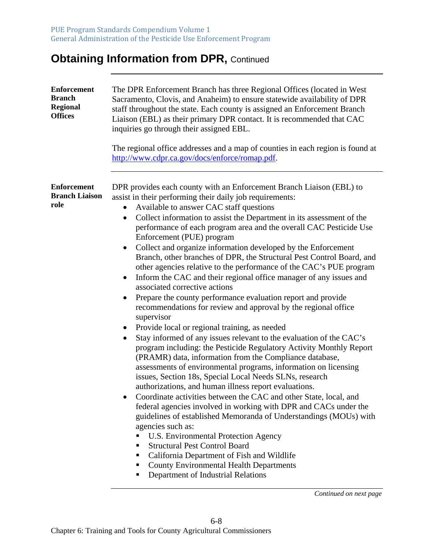| <b>Enforcement</b><br><b>Branch</b><br><b>Regional</b><br><b>Offices</b> | The DPR Enforcement Branch has three Regional Offices (located in West<br>Sacramento, Clovis, and Anaheim) to ensure statewide availability of DPR<br>staff throughout the state. Each county is assigned an Enforcement Branch<br>Liaison (EBL) as their primary DPR contact. It is recommended that CAC<br>inquiries go through their assigned EBL.<br>The regional office addresses and a map of counties in each region is found at<br>http://www.cdpr.ca.gov/docs/enforce/romap.pdf.                                                                                                                                                                                                                                                                                                                                                                                                                                                                                                                                                                                                                                                                                                                                                                                                                                                                                                                                                                                                                                                                                                                                                                                                                                                                                             |
|--------------------------------------------------------------------------|---------------------------------------------------------------------------------------------------------------------------------------------------------------------------------------------------------------------------------------------------------------------------------------------------------------------------------------------------------------------------------------------------------------------------------------------------------------------------------------------------------------------------------------------------------------------------------------------------------------------------------------------------------------------------------------------------------------------------------------------------------------------------------------------------------------------------------------------------------------------------------------------------------------------------------------------------------------------------------------------------------------------------------------------------------------------------------------------------------------------------------------------------------------------------------------------------------------------------------------------------------------------------------------------------------------------------------------------------------------------------------------------------------------------------------------------------------------------------------------------------------------------------------------------------------------------------------------------------------------------------------------------------------------------------------------------------------------------------------------------------------------------------------------|
| <b>Enforcement</b><br><b>Branch Liaison</b><br>role                      | DPR provides each county with an Enforcement Branch Liaison (EBL) to<br>assist in their performing their daily job requirements:<br>Available to answer CAC staff questions<br>$\bullet$<br>Collect information to assist the Department in its assessment of the<br>$\bullet$<br>performance of each program area and the overall CAC Pesticide Use<br>Enforcement (PUE) program<br>Collect and organize information developed by the Enforcement<br>$\bullet$<br>Branch, other branches of DPR, the Structural Pest Control Board, and<br>other agencies relative to the performance of the CAC's PUE program<br>Inform the CAC and their regional office manager of any issues and<br>associated corrective actions<br>Prepare the county performance evaluation report and provide<br>recommendations for review and approval by the regional office<br>supervisor<br>Provide local or regional training, as needed<br>Stay informed of any issues relevant to the evaluation of the CAC's<br>program including: the Pesticide Regulatory Activity Monthly Report<br>(PRAMR) data, information from the Compliance database,<br>assessments of environmental programs, information on licensing<br>issues, Section 18s, Special Local Needs SLNs, research<br>authorizations, and human illness report evaluations.<br>Coordinate activities between the CAC and other State, local, and<br>federal agencies involved in working with DPR and CACs under the<br>guidelines of established Memoranda of Understandings (MOUs) with<br>agencies such as:<br>U.S. Environmental Protection Agency<br><b>Structural Pest Control Board</b><br>California Department of Fish and Wildlife<br><b>County Environmental Health Departments</b><br>Department of Industrial Relations<br>ш |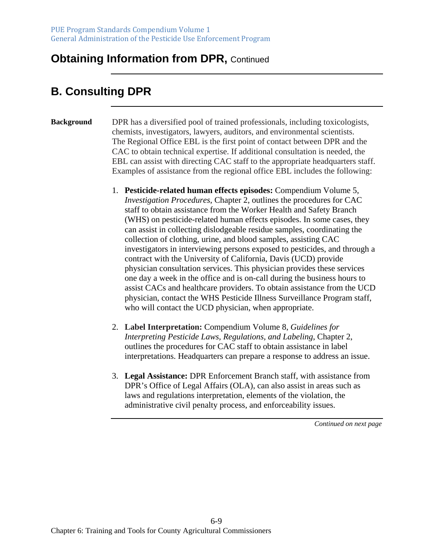# **B. Consulting DPR**

#### **Background** DPR has a diversified pool of trained professionals, including toxicologists, chemists, investigators, lawyers, auditors, and environmental scientists. The Regional Office EBL is the first point of contact between DPR and the CAC to obtain technical expertise. If additional consultation is needed, the EBL can assist with directing CAC staff to the appropriate headquarters staff. Examples of assistance from the regional office EBL includes the following:

- 1. **Pesticide-related human effects episodes:** Compendium Volume 5, *Investigation Procedures*, Chapter 2, outlines the procedures for CAC staff to obtain assistance from the Worker Health and Safety Branch (WHS) on pesticide-related human effects episodes. In some cases, they can assist in collecting dislodgeable residue samples, coordinating the collection of clothing, urine, and blood samples, assisting CAC investigators in interviewing persons exposed to pesticides, and through a contract with the University of California, Davis (UCD) provide physician consultation services. This physician provides these services one day a week in the office and is on-call during the business hours to assist CACs and healthcare providers. To obtain assistance from the UCD physician, contact the WHS Pesticide Illness Surveillance Program staff, who will contact the UCD physician, when appropriate.
- 2. **Label Interpretation:** Compendium Volume 8, *Guidelines for Interpreting Pesticide Laws, Regulations, and Labeling*, Chapter 2, outlines the procedures for CAC staff to obtain assistance in label interpretations. Headquarters can prepare a response to address an issue.
- 3. **Legal Assistance:** DPR Enforcement Branch staff, with assistance from DPR's Office of Legal Affairs (OLA), can also assist in areas such as laws and regulations interpretation, elements of the violation, the administrative civil penalty process, and enforceability issues.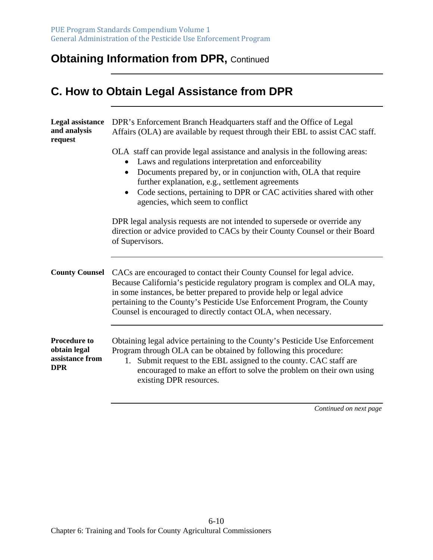# **C. How to Obtain Legal Assistance from DPR**

| <b>Legal assistance</b><br>and analysis<br>request                   | DPR's Enforcement Branch Headquarters staff and the Office of Legal<br>Affairs (OLA) are available by request through their EBL to assist CAC staff.                                                                                                                                                                                                                                  |  |
|----------------------------------------------------------------------|---------------------------------------------------------------------------------------------------------------------------------------------------------------------------------------------------------------------------------------------------------------------------------------------------------------------------------------------------------------------------------------|--|
|                                                                      | OLA staff can provide legal assistance and analysis in the following areas:<br>Laws and regulations interpretation and enforceability<br>Documents prepared by, or in conjunction with, OLA that require<br>further explanation, e.g., settlement agreements<br>Code sections, pertaining to DPR or CAC activities shared with other<br>$\bullet$<br>agencies, which seem to conflict |  |
|                                                                      | DPR legal analysis requests are not intended to supersede or override any<br>direction or advice provided to CACs by their County Counsel or their Board<br>of Supervisors.                                                                                                                                                                                                           |  |
| <b>County Counsel</b>                                                | CACs are encouraged to contact their County Counsel for legal advice.<br>Because California's pesticide regulatory program is complex and OLA may,<br>in some instances, be better prepared to provide help or legal advice<br>pertaining to the County's Pesticide Use Enforcement Program, the County<br>Counsel is encouraged to directly contact OLA, when necessary.             |  |
| <b>Procedure to</b><br>obtain legal<br>assistance from<br><b>DPR</b> | Obtaining legal advice pertaining to the County's Pesticide Use Enforcement<br>Program through OLA can be obtained by following this procedure:<br>1. Submit request to the EBL assigned to the county. CAC staff are<br>encouraged to make an effort to solve the problem on their own using<br>existing DPR resources.                                                              |  |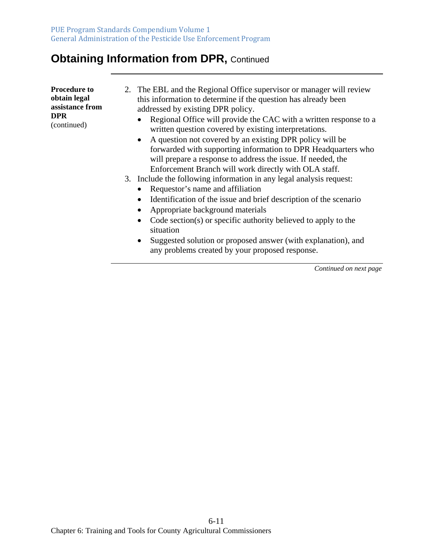| <b>Procedure to</b><br>obtain legal<br>assistance from<br>DPR.<br>(continued) |  | 2. The EBL and the Regional Office supervisor or manager will review<br>this information to determine if the question has already been<br>addressed by existing DPR policy.<br>Regional Office will provide the CAC with a written response to a<br>$\bullet$<br>written question covered by existing interpretations.<br>A question not covered by an existing DPR policy will be<br>$\bullet$<br>forwarded with supporting information to DPR Headquarters who<br>will prepare a response to address the issue. If needed, the |
|-------------------------------------------------------------------------------|--|----------------------------------------------------------------------------------------------------------------------------------------------------------------------------------------------------------------------------------------------------------------------------------------------------------------------------------------------------------------------------------------------------------------------------------------------------------------------------------------------------------------------------------|
|-------------------------------------------------------------------------------|--|----------------------------------------------------------------------------------------------------------------------------------------------------------------------------------------------------------------------------------------------------------------------------------------------------------------------------------------------------------------------------------------------------------------------------------------------------------------------------------------------------------------------------------|

Enforcement Branch will work directly with OLA staff.

- 3. Include the following information in any legal analysis request:
	- Requestor's name and affiliation
	- Identification of the issue and brief description of the scenario
	- Appropriate background materials
	- Code section(s) or specific authority believed to apply to the situation
	- Suggested solution or proposed answer (with explanation), and any problems created by your proposed response.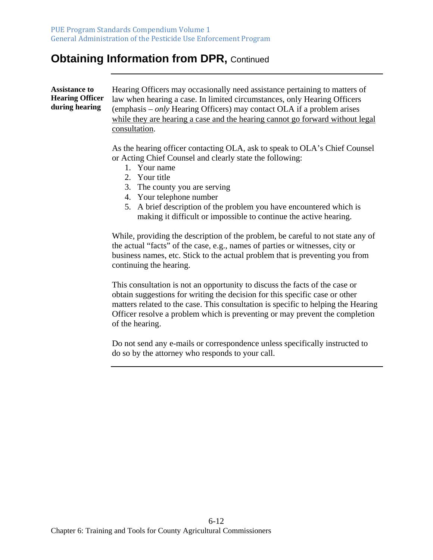**Assistance to Hearing Officer during hearing** 

Hearing Officers may occasionally need assistance pertaining to matters of law when hearing a case. In limited circumstances, only Hearing Officers (emphasis – *only* Hearing Officers) may contact OLA if a problem arises while they are hearing a case and the hearing cannot go forward without legal consultation.

As the hearing officer contacting OLA, ask to speak to OLA's Chief Counsel or Acting Chief Counsel and clearly state the following:

- 1. Your name
- 2. Your title
- 3. The county you are serving
- 4. Your telephone number
- 5. A brief description of the problem you have encountered which is making it difficult or impossible to continue the active hearing.

While, providing the description of the problem, be careful to not state any of the actual "facts" of the case, e.g., names of parties or witnesses, city or business names, etc. Stick to the actual problem that is preventing you from continuing the hearing.

This consultation is not an opportunity to discuss the facts of the case or obtain suggestions for writing the decision for this specific case or other matters related to the case. This consultation is specific to helping the Hearing Officer resolve a problem which is preventing or may prevent the completion of the hearing.

Do not send any e-mails or correspondence unless specifically instructed to do so by the attorney who responds to your call.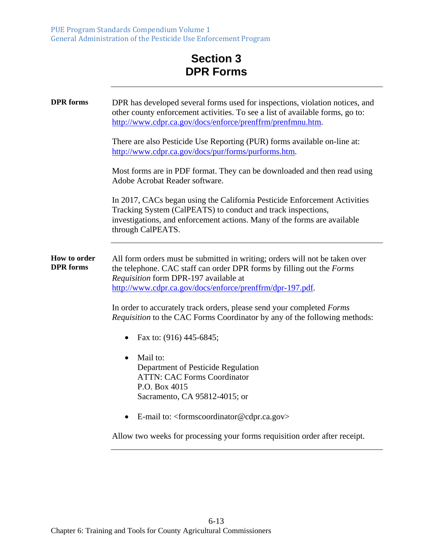#### **Section 3 DPR Forms**

| <b>DPR</b> forms                 | DPR has developed several forms used for inspections, violation notices, and<br>other county enforcement activities. To see a list of available forms, go to:<br>http://www.cdpr.ca.gov/docs/enforce/prenffrm/prenfmnu.htm.                                |
|----------------------------------|------------------------------------------------------------------------------------------------------------------------------------------------------------------------------------------------------------------------------------------------------------|
|                                  | There are also Pesticide Use Reporting (PUR) forms available on-line at:<br>http://www.cdpr.ca.gov/docs/pur/forms/purforms.htm.                                                                                                                            |
|                                  | Most forms are in PDF format. They can be downloaded and then read using<br>Adobe Acrobat Reader software.                                                                                                                                                 |
|                                  | In 2017, CACs began using the California Pesticide Enforcement Activities<br>Tracking System (CalPEATS) to conduct and track inspections,<br>investigations, and enforcement actions. Many of the forms are available<br>through CalPEATS.                 |
| How to order<br><b>DPR</b> forms | All form orders must be submitted in writing; orders will not be taken over<br>the telephone. CAC staff can order DPR forms by filling out the Forms<br>Requisition form DPR-197 available at<br>http://www.cdpr.ca.gov/docs/enforce/prenffrm/dpr-197.pdf. |
|                                  | In order to accurately track orders, please send your completed Forms<br><i>Requisition</i> to the CAC Forms Coordinator by any of the following methods:                                                                                                  |
|                                  | Fax to: (916) 445-6845;<br>$\bullet$                                                                                                                                                                                                                       |
|                                  | Mail to:<br>Department of Pesticide Regulation<br><b>ATTN: CAC Forms Coordinator</b><br>P.O. Box 4015<br>Sacramento, CA 95812-4015; or                                                                                                                     |
|                                  | E-mail to: <formscoordinator@cdpr.ca.gov><br/><math>\bullet</math></formscoordinator@cdpr.ca.gov>                                                                                                                                                          |
|                                  | Allow two weeks for processing your forms requisition order after receipt.                                                                                                                                                                                 |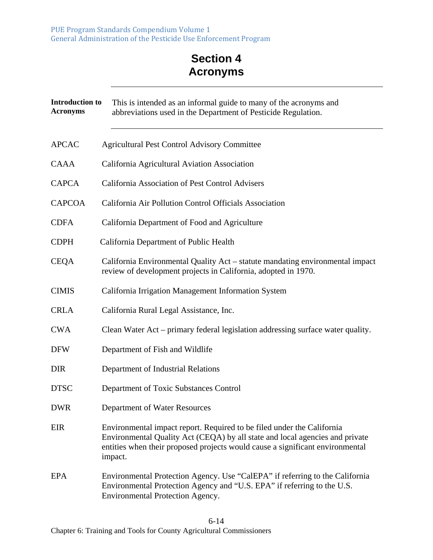### **Section 4 Acronyms**

| <b>Introduction to</b><br><b>Acronyms</b> | This is intended as an informal guide to many of the acronyms and<br>abbreviations used in the Department of Pesticide Regulation.                                                                                                                 |
|-------------------------------------------|----------------------------------------------------------------------------------------------------------------------------------------------------------------------------------------------------------------------------------------------------|
| <b>APCAC</b>                              | <b>Agricultural Pest Control Advisory Committee</b>                                                                                                                                                                                                |
| <b>CAAA</b>                               | California Agricultural Aviation Association                                                                                                                                                                                                       |
| <b>CAPCA</b>                              | California Association of Pest Control Advisers                                                                                                                                                                                                    |
| <b>CAPCOA</b>                             | California Air Pollution Control Officials Association                                                                                                                                                                                             |
| <b>CDFA</b>                               | California Department of Food and Agriculture                                                                                                                                                                                                      |
| <b>CDPH</b>                               | California Department of Public Health                                                                                                                                                                                                             |
| <b>CEQA</b>                               | California Environmental Quality Act – statute mandating environmental impact<br>review of development projects in California, adopted in 1970.                                                                                                    |
| <b>CIMIS</b>                              | California Irrigation Management Information System                                                                                                                                                                                                |
| <b>CRLA</b>                               | California Rural Legal Assistance, Inc.                                                                                                                                                                                                            |
| <b>CWA</b>                                | Clean Water Act – primary federal legislation addressing surface water quality.                                                                                                                                                                    |
| <b>DFW</b>                                | Department of Fish and Wildlife                                                                                                                                                                                                                    |
| <b>DIR</b>                                | Department of Industrial Relations                                                                                                                                                                                                                 |
| <b>DTSC</b>                               | Department of Toxic Substances Control                                                                                                                                                                                                             |
| <b>DWR</b>                                | Department of Water Resources                                                                                                                                                                                                                      |
| <b>EIR</b>                                | Environmental impact report. Required to be filed under the California<br>Environmental Quality Act (CEQA) by all state and local agencies and private<br>entities when their proposed projects would cause a significant environmental<br>impact. |
| <b>EPA</b>                                | Environmental Protection Agency. Use "CalEPA" if referring to the California<br>Environmental Protection Agency and "U.S. EPA" if referring to the U.S.<br>Environmental Protection Agency.                                                        |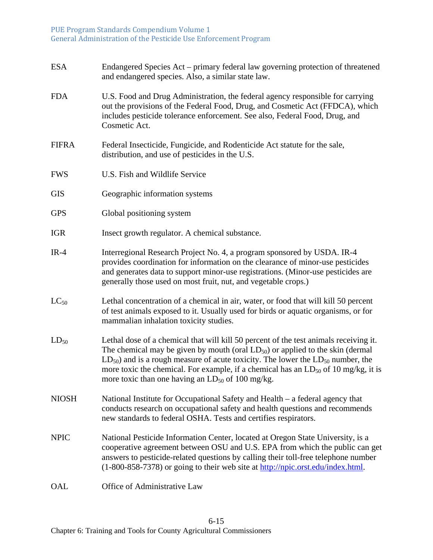| <b>ESA</b>   | Endangered Species Act - primary federal law governing protection of threatened<br>and endangered species. Also, a similar state law.                                                                                                                                                                                                                                                                                                |
|--------------|--------------------------------------------------------------------------------------------------------------------------------------------------------------------------------------------------------------------------------------------------------------------------------------------------------------------------------------------------------------------------------------------------------------------------------------|
| <b>FDA</b>   | U.S. Food and Drug Administration, the federal agency responsible for carrying<br>out the provisions of the Federal Food, Drug, and Cosmetic Act (FFDCA), which<br>includes pesticide tolerance enforcement. See also, Federal Food, Drug, and<br>Cosmetic Act.                                                                                                                                                                      |
| <b>FIFRA</b> | Federal Insecticide, Fungicide, and Rodenticide Act statute for the sale,<br>distribution, and use of pesticides in the U.S.                                                                                                                                                                                                                                                                                                         |
| <b>FWS</b>   | U.S. Fish and Wildlife Service                                                                                                                                                                                                                                                                                                                                                                                                       |
| <b>GIS</b>   | Geographic information systems                                                                                                                                                                                                                                                                                                                                                                                                       |
| <b>GPS</b>   | Global positioning system                                                                                                                                                                                                                                                                                                                                                                                                            |
| <b>IGR</b>   | Insect growth regulator. A chemical substance.                                                                                                                                                                                                                                                                                                                                                                                       |
| $IR-4$       | Interregional Research Project No. 4, a program sponsored by USDA. IR-4<br>provides coordination for information on the clearance of minor-use pesticides<br>and generates data to support minor-use registrations. (Minor-use pesticides are<br>generally those used on most fruit, nut, and vegetable crops.)                                                                                                                      |
| $LC_{50}$    | Lethal concentration of a chemical in air, water, or food that will kill 50 percent<br>of test animals exposed to it. Usually used for birds or aquatic organisms, or for<br>mammalian inhalation toxicity studies.                                                                                                                                                                                                                  |
| $LD_{50}$    | Lethal dose of a chemical that will kill 50 percent of the test animals receiving it.<br>The chemical may be given by mouth (oral $LD_{50}$ ) or applied to the skin (dermal<br>$LD_{50}$ ) and is a rough measure of acute toxicity. The lower the $LD_{50}$ number, the<br>more toxic the chemical. For example, if a chemical has an $LD_{50}$ of 10 mg/kg, it is<br>more toxic than one having an LD <sub>50</sub> of 100 mg/kg. |
| <b>NIOSH</b> | National Institute for Occupational Safety and Health – a federal agency that<br>conducts research on occupational safety and health questions and recommends<br>new standards to federal OSHA. Tests and certifies respirators.                                                                                                                                                                                                     |
| <b>NPIC</b>  | National Pesticide Information Center, located at Oregon State University, is a<br>cooperative agreement between OSU and U.S. EPA from which the public can get<br>answers to pesticide-related questions by calling their toll-free telephone number<br>(1-800-858-7378) or going to their web site at http://npic.orst.edu/index.html.                                                                                             |
| OAL          | Office of Administrative Law                                                                                                                                                                                                                                                                                                                                                                                                         |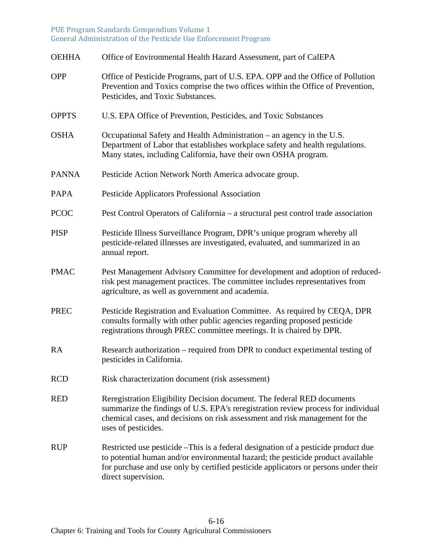| <b>OEHHA</b> | Office of Environmental Health Hazard Assessment, part of CalEPA                                                                                                                                                                                                                    |
|--------------|-------------------------------------------------------------------------------------------------------------------------------------------------------------------------------------------------------------------------------------------------------------------------------------|
| <b>OPP</b>   | Office of Pesticide Programs, part of U.S. EPA. OPP and the Office of Pollution<br>Prevention and Toxics comprise the two offices within the Office of Prevention,<br>Pesticides, and Toxic Substances.                                                                             |
| <b>OPPTS</b> | U.S. EPA Office of Prevention, Pesticides, and Toxic Substances                                                                                                                                                                                                                     |
| <b>OSHA</b>  | Occupational Safety and Health Administration – an agency in the U.S.<br>Department of Labor that establishes workplace safety and health regulations.<br>Many states, including California, have their own OSHA program.                                                           |
| <b>PANNA</b> | Pesticide Action Network North America advocate group.                                                                                                                                                                                                                              |
| <b>PAPA</b>  | Pesticide Applicators Professional Association                                                                                                                                                                                                                                      |
| <b>PCOC</b>  | Pest Control Operators of California – a structural pest control trade association                                                                                                                                                                                                  |
| <b>PISP</b>  | Pesticide Illness Surveillance Program, DPR's unique program whereby all<br>pesticide-related illnesses are investigated, evaluated, and summarized in an<br>annual report.                                                                                                         |
| <b>PMAC</b>  | Pest Management Advisory Committee for development and adoption of reduced-<br>risk pest management practices. The committee includes representatives from<br>agriculture, as well as government and academia.                                                                      |
| <b>PREC</b>  | Pesticide Registration and Evaluation Committee. As required by CEQA, DPR<br>consults formally with other public agencies regarding proposed pesticide<br>registrations through PREC committee meetings. It is chaired by DPR.                                                      |
| <b>RA</b>    | Research authorization – required from DPR to conduct experimental testing of<br>pesticides in California.                                                                                                                                                                          |
| <b>RCD</b>   | Risk characterization document (risk assessment)                                                                                                                                                                                                                                    |
| <b>RED</b>   | Reregistration Eligibility Decision document. The federal RED documents<br>summarize the findings of U.S. EPA's reregistration review process for individual<br>chemical cases, and decisions on risk assessment and risk management for the<br>uses of pesticides.                 |
| <b>RUP</b>   | Restricted use pesticide –This is a federal designation of a pesticide product due<br>to potential human and/or environmental hazard; the pesticide product available<br>for purchase and use only by certified pesticide applicators or persons under their<br>direct supervision. |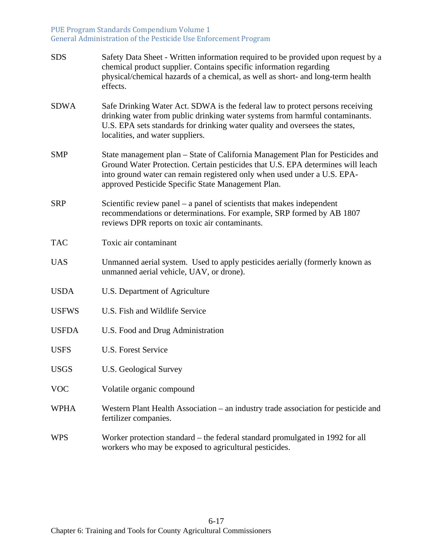| <b>SDS</b>   | Safety Data Sheet - Written information required to be provided upon request by a<br>chemical product supplier. Contains specific information regarding<br>physical/chemical hazards of a chemical, as well as short- and long-term health<br>effects.                                              |
|--------------|-----------------------------------------------------------------------------------------------------------------------------------------------------------------------------------------------------------------------------------------------------------------------------------------------------|
| <b>SDWA</b>  | Safe Drinking Water Act. SDWA is the federal law to protect persons receiving<br>drinking water from public drinking water systems from harmful contaminants.<br>U.S. EPA sets standards for drinking water quality and oversees the states,<br>localities, and water suppliers.                    |
| <b>SMP</b>   | State management plan – State of California Management Plan for Pesticides and<br>Ground Water Protection. Certain pesticides that U.S. EPA determines will leach<br>into ground water can remain registered only when used under a U.S. EPA-<br>approved Pesticide Specific State Management Plan. |
| <b>SRP</b>   | Scientific review panel – a panel of scientists that makes independent<br>recommendations or determinations. For example, SRP formed by AB 1807<br>reviews DPR reports on toxic air contaminants.                                                                                                   |
| <b>TAC</b>   | Toxic air contaminant                                                                                                                                                                                                                                                                               |
| <b>UAS</b>   | Unmanned aerial system. Used to apply pesticides aerially (formerly known as<br>unmanned aerial vehicle, UAV, or drone).                                                                                                                                                                            |
| <b>USDA</b>  | U.S. Department of Agriculture                                                                                                                                                                                                                                                                      |
| <b>USFWS</b> | U.S. Fish and Wildlife Service                                                                                                                                                                                                                                                                      |
| <b>USFDA</b> | U.S. Food and Drug Administration                                                                                                                                                                                                                                                                   |
| <b>USFS</b>  | U.S. Forest Service                                                                                                                                                                                                                                                                                 |
| <b>USGS</b>  | <b>U.S. Geological Survey</b>                                                                                                                                                                                                                                                                       |
| <b>VOC</b>   | Volatile organic compound                                                                                                                                                                                                                                                                           |
| <b>WPHA</b>  | Western Plant Health Association – an industry trade association for pesticide and<br>fertilizer companies.                                                                                                                                                                                         |
| <b>WPS</b>   | Worker protection standard – the federal standard promulgated in 1992 for all<br>workers who may be exposed to agricultural pesticides.                                                                                                                                                             |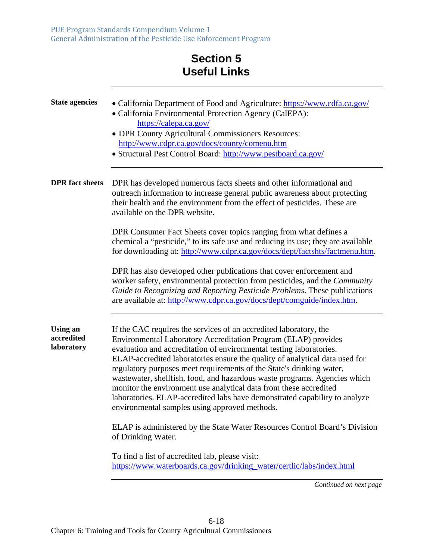# **Section 5 Useful Links**

| <b>State agencies</b>                       | • California Department of Food and Agriculture: https://www.cdfa.ca.gov/<br>• California Environmental Protection Agency (CalEPA):<br>https://calepa.ca.gov/<br>• DPR County Agricultural Commissioners Resources:<br>http://www.cdpr.ca.gov/docs/county/comenu.htm<br>• Structural Pest Control Board: http://www.pestboard.ca.gov/                                                                                                                                                                                                                                                                                                              |
|---------------------------------------------|----------------------------------------------------------------------------------------------------------------------------------------------------------------------------------------------------------------------------------------------------------------------------------------------------------------------------------------------------------------------------------------------------------------------------------------------------------------------------------------------------------------------------------------------------------------------------------------------------------------------------------------------------|
| <b>DPR</b> fact sheets                      | DPR has developed numerous facts sheets and other informational and<br>outreach information to increase general public awareness about protecting<br>their health and the environment from the effect of pesticides. These are<br>available on the DPR website.                                                                                                                                                                                                                                                                                                                                                                                    |
|                                             | DPR Consumer Fact Sheets cover topics ranging from what defines a<br>chemical a "pesticide," to its safe use and reducing its use; they are available<br>for downloading at: http://www.cdpr.ca.gov/docs/dept/factshts/factmenu.htm.                                                                                                                                                                                                                                                                                                                                                                                                               |
|                                             | DPR has also developed other publications that cover enforcement and<br>worker safety, environmental protection from pesticides, and the Community<br>Guide to Recognizing and Reporting Pesticide Problems. These publications<br>are available at: http://www.cdpr.ca.gov/docs/dept/comguide/index.htm.                                                                                                                                                                                                                                                                                                                                          |
| <b>Using an</b><br>accredited<br>laboratory | If the CAC requires the services of an accredited laboratory, the<br>Environmental Laboratory Accreditation Program (ELAP) provides<br>evaluation and accreditation of environmental testing laboratories.<br>ELAP-accredited laboratories ensure the quality of analytical data used for<br>regulatory purposes meet requirements of the State's drinking water,<br>wastewater, shellfish, food, and hazardous waste programs. Agencies which<br>monitor the environment use analytical data from these accredited<br>laboratories. ELAP-accredited labs have demonstrated capability to analyze<br>environmental samples using approved methods. |
|                                             | ELAP is administered by the State Water Resources Control Board's Division<br>of Drinking Water.                                                                                                                                                                                                                                                                                                                                                                                                                                                                                                                                                   |
|                                             | To find a list of accredited lab, please visit:<br>https://www.waterboards.ca.gov/drinking_water/certlic/labs/index.html                                                                                                                                                                                                                                                                                                                                                                                                                                                                                                                           |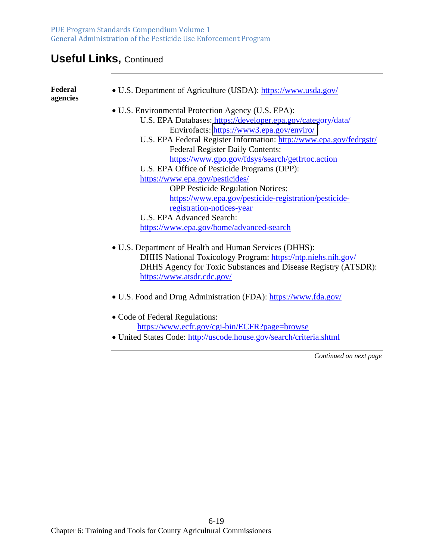# **Useful Links,** Continued

| Federal<br>agencies | • U.S. Department of Agriculture (USDA): https://www.usda.gov/      |
|---------------------|---------------------------------------------------------------------|
|                     | • U.S. Environmental Protection Agency (U.S. EPA):                  |
|                     | U.S. EPA Databases: https://developer.epa.gov/category/data/        |
|                     | Envirofacts: https://www3.epa.gov/enviro/                           |
|                     | U.S. EPA Federal Register Information: http://www.epa.gov/fedrgstr/ |
|                     | <b>Federal Register Daily Contents:</b>                             |
|                     | https://www.gpo.gov/fdsys/search/getfrtoc.action                    |
|                     | U.S. EPA Office of Pesticide Programs (OPP):                        |
|                     | https://www.epa.gov/pesticides/                                     |
|                     | <b>OPP Pesticide Regulation Notices:</b>                            |
|                     | https://www.epa.gov/pesticide-registration/pesticide-               |
|                     | registration-notices-year                                           |
|                     | <b>U.S. EPA Advanced Search:</b>                                    |
|                     | https://www.epa.gov/home/advanced-search                            |
|                     | • U.S. Department of Health and Human Services (DHHS):              |
|                     | DHHS National Toxicology Program: https://ntp.niehs.nih.gov/        |
|                     | DHHS Agency for Toxic Substances and Disease Registry (ATSDR):      |
|                     | https://www.atsdr.cdc.gov/                                          |
|                     | • U.S. Food and Drug Administration (FDA): https://www.fda.gov/     |
|                     | • Code of Federal Regulations:                                      |
|                     | https://www.ecfr.gov/cgi-bin/ECFR?page=browse                       |
|                     | • United States Code: http://uscode.house.gov/search/criteria.shtml |